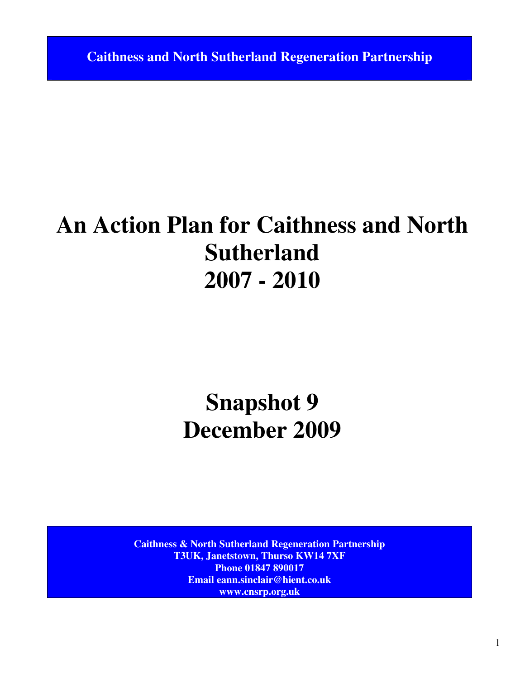**Caithness and North Sutherland Regeneration Partnership** 

# **An Action Plan for Caithness and North Sutherland 2007 - 2010**

# **Snapshot 9 December 2009**

**Caithness & North Sutherland Regeneration Partnership T3UK, Janetstown, Thurso KW14 7XF Phone 01847 890017 Email eann.sinclair@hient.co.uk www.cnsrp.org.uk**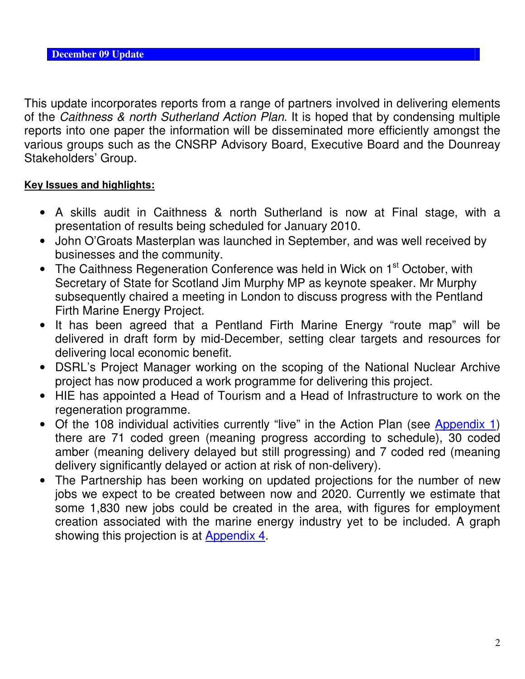This update incorporates reports from a range of partners involved in delivering elements of the Caithness & north Sutherland Action Plan. It is hoped that by condensing multiple reports into one paper the information will be disseminated more efficiently amongst the various groups such as the CNSRP Advisory Board, Executive Board and the Dounreay Stakeholders' Group.

## **Key Issues and highlights:**

- A skills audit in Caithness & north Sutherland is now at Final stage, with a presentation of results being scheduled for January 2010.
- John O'Groats Masterplan was launched in September, and was well received by businesses and the community.
- The Caithness Regeneration Conference was held in Wick on 1<sup>st</sup> October, with Secretary of State for Scotland Jim Murphy MP as keynote speaker. Mr Murphy subsequently chaired a meeting in London to discuss progress with the Pentland Firth Marine Energy Project.
- It has been agreed that a Pentland Firth Marine Energy "route map" will be delivered in draft form by mid-December, setting clear targets and resources for delivering local economic benefit.
- DSRL's Project Manager working on the scoping of the National Nuclear Archive project has now produced a work programme for delivering this project.
- HIE has appointed a Head of Tourism and a Head of Infrastructure to work on the regeneration programme.
- Of the 108 individual activities currently "live" in the Action Plan (see Appendix 1) there are 71 coded green (meaning progress according to schedule), 30 coded amber (meaning delivery delayed but still progressing) and 7 coded red (meaning delivery significantly delayed or action at risk of non-delivery).
- The Partnership has been working on updated projections for the number of new jobs we expect to be created between now and 2020. Currently we estimate that some 1,830 new jobs could be created in the area, with figures for employment creation associated with the marine energy industry yet to be included. A graph showing this projection is at Appendix 4.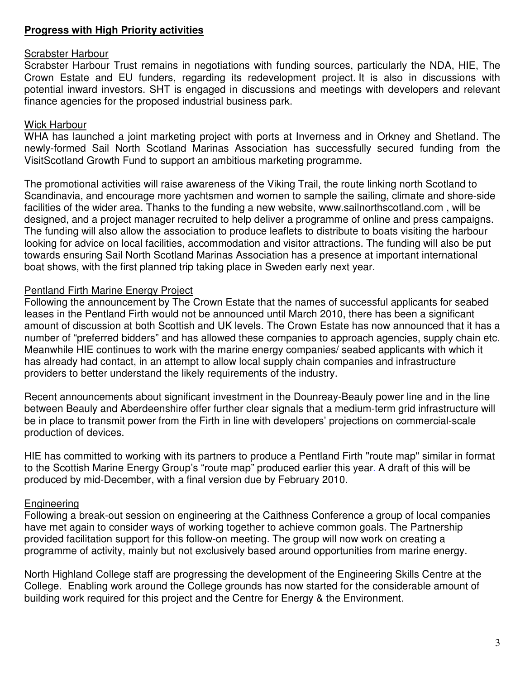### **Progress with High Priority activities**

#### Scrabster Harbour

Scrabster Harbour Trust remains in negotiations with funding sources, particularly the NDA, HIE, The Crown Estate and EU funders, regarding its redevelopment project. It is also in discussions with potential inward investors. SHT is engaged in discussions and meetings with developers and relevant finance agencies for the proposed industrial business park.

#### Wick Harbour

WHA has launched a joint marketing project with ports at Inverness and in Orkney and Shetland. The newly-formed Sail North Scotland Marinas Association has successfully secured funding from the VisitScotland Growth Fund to support an ambitious marketing programme.

The promotional activities will raise awareness of the Viking Trail, the route linking north Scotland to Scandinavia, and encourage more yachtsmen and women to sample the sailing, climate and shore-side facilities of the wider area. Thanks to the funding a new website, www.sailnorthscotland.com , will be designed, and a project manager recruited to help deliver a programme of online and press campaigns. The funding will also allow the association to produce leaflets to distribute to boats visiting the harbour looking for advice on local facilities, accommodation and visitor attractions. The funding will also be put towards ensuring Sail North Scotland Marinas Association has a presence at important international boat shows, with the first planned trip taking place in Sweden early next year.

## Pentland Firth Marine Energy Project

Following the announcement by The Crown Estate that the names of successful applicants for seabed leases in the Pentland Firth would not be announced until March 2010, there has been a significant amount of discussion at both Scottish and UK levels. The Crown Estate has now announced that it has a number of "preferred bidders" and has allowed these companies to approach agencies, supply chain etc. Meanwhile HIE continues to work with the marine energy companies/ seabed applicants with which it has already had contact, in an attempt to allow local supply chain companies and infrastructure providers to better understand the likely requirements of the industry.

Recent announcements about significant investment in the Dounreay-Beauly power line and in the line between Beauly and Aberdeenshire offer further clear signals that a medium-term grid infrastructure will be in place to transmit power from the Firth in line with developers' projections on commercial-scale production of devices.

HIE has committed to working with its partners to produce a Pentland Firth "route map" similar in format to the Scottish Marine Energy Group's "route map" produced earlier this year. A draft of this will be produced by mid-December, with a final version due by February 2010.

#### **Engineering**

Following a break-out session on engineering at the Caithness Conference a group of local companies have met again to consider ways of working together to achieve common goals. The Partnership provided facilitation support for this follow-on meeting. The group will now work on creating a programme of activity, mainly but not exclusively based around opportunities from marine energy.

North Highland College staff are progressing the development of the Engineering Skills Centre at the College. Enabling work around the College grounds has now started for the considerable amount of building work required for this project and the Centre for Energy & the Environment.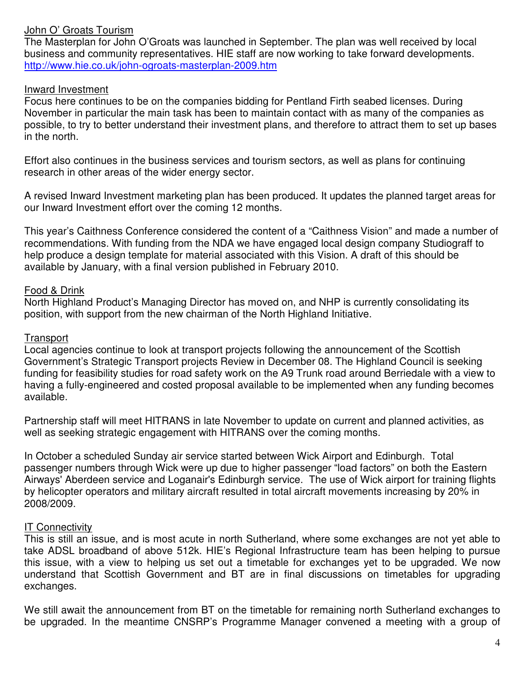#### John O' Groats Tourism

The Masterplan for John O'Groats was launched in September. The plan was well received by local business and community representatives. HIE staff are now working to take forward developments. http://www.hie.co.uk/john-ogroats-masterplan-2009.htm

#### Inward Investment

Focus here continues to be on the companies bidding for Pentland Firth seabed licenses. During November in particular the main task has been to maintain contact with as many of the companies as possible, to try to better understand their investment plans, and therefore to attract them to set up bases in the north.

Effort also continues in the business services and tourism sectors, as well as plans for continuing research in other areas of the wider energy sector.

A revised Inward Investment marketing plan has been produced. It updates the planned target areas for our Inward Investment effort over the coming 12 months.

This year's Caithness Conference considered the content of a "Caithness Vision" and made a number of recommendations. With funding from the NDA we have engaged local design company Studiograff to help produce a design template for material associated with this Vision. A draft of this should be available by January, with a final version published in February 2010.

#### Food & Drink

North Highland Product's Managing Director has moved on, and NHP is currently consolidating its position, with support from the new chairman of the North Highland Initiative.

#### **Transport**

Local agencies continue to look at transport projects following the announcement of the Scottish Government's Strategic Transport projects Review in December 08. The Highland Council is seeking funding for feasibility studies for road safety work on the A9 Trunk road around Berriedale with a view to having a fully-engineered and costed proposal available to be implemented when any funding becomes available.

Partnership staff will meet HITRANS in late November to update on current and planned activities, as well as seeking strategic engagement with HITRANS over the coming months.

In October a scheduled Sunday air service started between Wick Airport and Edinburgh. Total passenger numbers through Wick were up due to higher passenger "load factors" on both the Eastern Airways' Aberdeen service and Loganair's Edinburgh service. The use of Wick airport for training flights by helicopter operators and military aircraft resulted in total aircraft movements increasing by 20% in 2008/2009.

#### IT Connectivity

This is still an issue, and is most acute in north Sutherland, where some exchanges are not yet able to take ADSL broadband of above 512k. HIE's Regional Infrastructure team has been helping to pursue this issue, with a view to helping us set out a timetable for exchanges yet to be upgraded. We now understand that Scottish Government and BT are in final discussions on timetables for upgrading exchanges.

We still await the announcement from BT on the timetable for remaining north Sutherland exchanges to be upgraded. In the meantime CNSRP's Programme Manager convened a meeting with a group of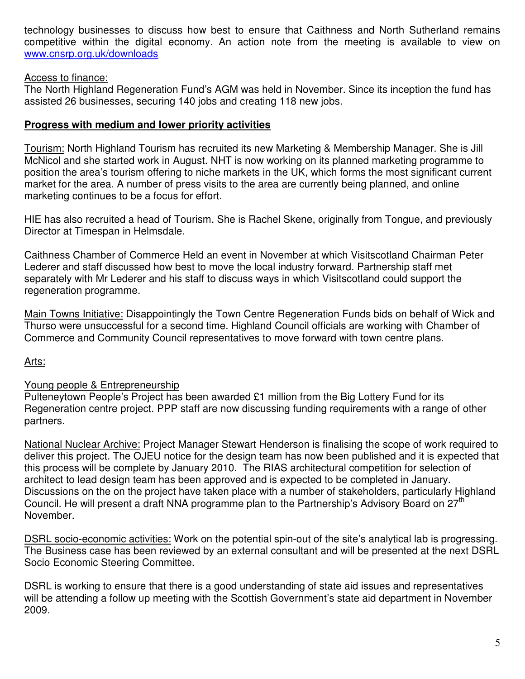technology businesses to discuss how best to ensure that Caithness and North Sutherland remains competitive within the digital economy. An action note from the meeting is available to view on www.cnsrp.org.uk/downloads

#### Access to finance:

The North Highland Regeneration Fund's AGM was held in November. Since its inception the fund has assisted 26 businesses, securing 140 jobs and creating 118 new jobs.

#### **Progress with medium and lower priority activities**

Tourism: North Highland Tourism has recruited its new Marketing & Membership Manager. She is Jill McNicol and she started work in August. NHT is now working on its planned marketing programme to position the area's tourism offering to niche markets in the UK, which forms the most significant current market for the area. A number of press visits to the area are currently being planned, and online marketing continues to be a focus for effort.

HIE has also recruited a head of Tourism. She is Rachel Skene, originally from Tongue, and previously Director at Timespan in Helmsdale.

Caithness Chamber of Commerce Held an event in November at which Visitscotland Chairman Peter Lederer and staff discussed how best to move the local industry forward. Partnership staff met separately with Mr Lederer and his staff to discuss ways in which Visitscotland could support the regeneration programme.

Main Towns Initiative: Disappointingly the Town Centre Regeneration Funds bids on behalf of Wick and Thurso were unsuccessful for a second time. Highland Council officials are working with Chamber of Commerce and Community Council representatives to move forward with town centre plans.

#### <u>Arts:</u>

#### Young people & Entrepreneurship

Pulteneytown People's Project has been awarded £1 million from the Big Lottery Fund for its Regeneration centre project. PPP staff are now discussing funding requirements with a range of other partners.

National Nuclear Archive: Project Manager Stewart Henderson is finalising the scope of work required to deliver this project. The OJEU notice for the design team has now been published and it is expected that this process will be complete by January 2010. The RIAS architectural competition for selection of architect to lead design team has been approved and is expected to be completed in January. Discussions on the on the project have taken place with a number of stakeholders, particularly Highland Council. He will present a draft NNA programme plan to the Partnership's Advisory Board on  $27^{\text{th}}$ November.

DSRL socio-economic activities: Work on the potential spin-out of the site's analytical lab is progressing. The Business case has been reviewed by an external consultant and will be presented at the next DSRL Socio Economic Steering Committee.

DSRL is working to ensure that there is a good understanding of state aid issues and representatives will be attending a follow up meeting with the Scottish Government's state aid department in November 2009.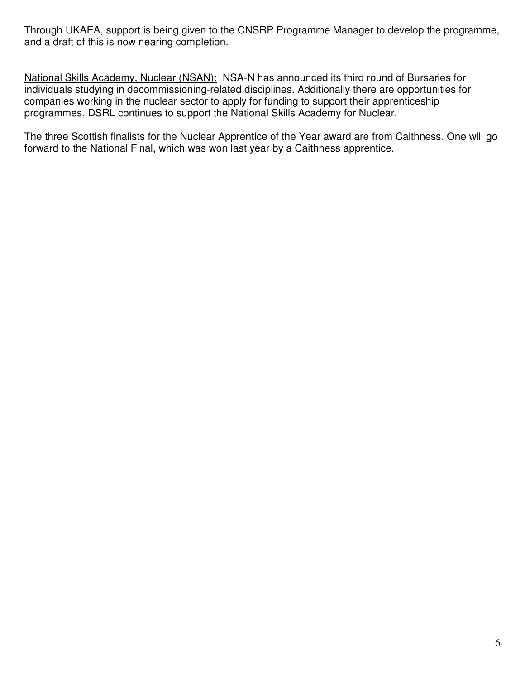Through UKAEA, support is being given to the CNSRP Programme Manager to develop the programme, and a draft of this is now nearing completion.

National Skills Academy, Nuclear (NSAN): NSA-N has announced its third round of Bursaries for individuals studying in decommissioning-related disciplines. Additionally there are opportunities for companies working in the nuclear sector to apply for funding to support their apprenticeship programmes. DSRL continues to support the National Skills Academy for Nuclear.

The three Scottish finalists for the Nuclear Apprentice of the Year award are from Caithness. One will go forward to the National Final, which was won last year by a Caithness apprentice.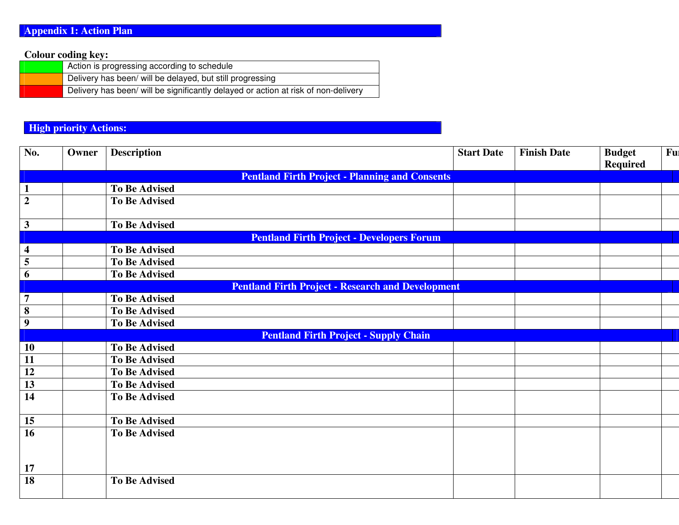#### **Colour coding key:**

| Action is progressing according to schedule                                        |
|------------------------------------------------------------------------------------|
| Delivery has been/ will be delayed, but still progressing                          |
| Delivery has been/ will be significantly delayed or action at risk of non-delivery |

#### **High priority Actions:**

| No.                     | Owner | <b>Description</b>                                       | <b>Start Date</b> | <b>Finish Date</b> | <b>Budget</b>   | Ful |
|-------------------------|-------|----------------------------------------------------------|-------------------|--------------------|-----------------|-----|
|                         |       |                                                          |                   |                    | <b>Required</b> |     |
|                         |       | <b>Pentland Firth Project - Planning and Consents</b>    |                   |                    |                 |     |
| $\mathbf{1}$            |       | <b>To Be Advised</b>                                     |                   |                    |                 |     |
| $\overline{2}$          |       | <b>To Be Advised</b>                                     |                   |                    |                 |     |
|                         |       |                                                          |                   |                    |                 |     |
| $\mathbf{3}$            |       | <b>To Be Advised</b>                                     |                   |                    |                 |     |
|                         |       | <b>Pentland Firth Project - Developers Forum</b>         |                   |                    |                 |     |
| $\overline{\mathbf{4}}$ |       | <b>To Be Advised</b>                                     |                   |                    |                 |     |
| $\overline{\mathbf{5}}$ |       | <b>To Be Advised</b>                                     |                   |                    |                 |     |
| $\boldsymbol{6}$        |       | <b>To Be Advised</b>                                     |                   |                    |                 |     |
|                         |       | <b>Pentland Firth Project - Research and Development</b> |                   |                    |                 |     |
| $\overline{7}$          |       | <b>To Be Advised</b>                                     |                   |                    |                 |     |
| $\overline{\mathbf{8}}$ |       | <b>To Be Advised</b>                                     |                   |                    |                 |     |
| $\overline{9}$          |       | <b>To Be Advised</b>                                     |                   |                    |                 |     |
|                         |       | <b>Pentland Firth Project - Supply Chain</b>             |                   |                    |                 |     |
| 10                      |       | <b>To Be Advised</b>                                     |                   |                    |                 |     |
| 11                      |       | <b>To Be Advised</b>                                     |                   |                    |                 |     |
| 12                      |       | <b>To Be Advised</b>                                     |                   |                    |                 |     |
| 13                      |       | <b>To Be Advised</b>                                     |                   |                    |                 |     |
| 14                      |       | <b>To Be Advised</b>                                     |                   |                    |                 |     |
|                         |       |                                                          |                   |                    |                 |     |
| 15                      |       | <b>To Be Advised</b>                                     |                   |                    |                 |     |
| $\overline{16}$         |       | <b>To Be Advised</b>                                     |                   |                    |                 |     |
|                         |       |                                                          |                   |                    |                 |     |
|                         |       |                                                          |                   |                    |                 |     |
| 17                      |       |                                                          |                   |                    |                 |     |
| 18                      |       | <b>To Be Advised</b>                                     |                   |                    |                 |     |
|                         |       |                                                          |                   |                    |                 |     |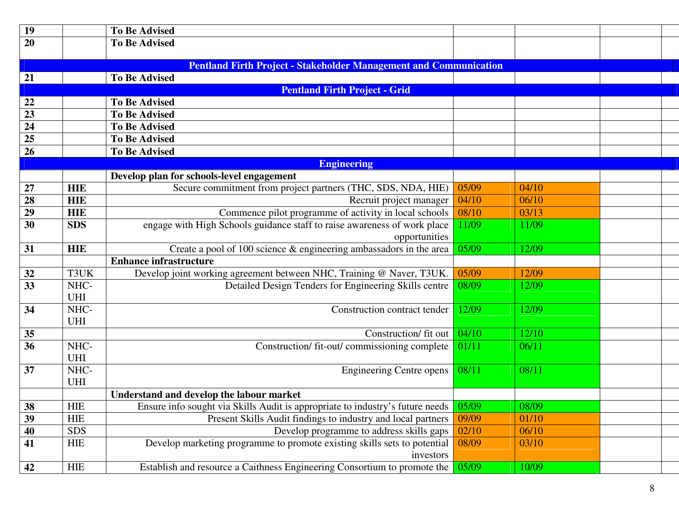| 19 |                                                                                                  | <b>To Be Advised</b>                                                          |       |       |  |  |  |  |  |
|----|--------------------------------------------------------------------------------------------------|-------------------------------------------------------------------------------|-------|-------|--|--|--|--|--|
| 20 |                                                                                                  | <b>To Be Advised</b>                                                          |       |       |  |  |  |  |  |
|    |                                                                                                  |                                                                               |       |       |  |  |  |  |  |
| 21 | <b>Pentland Firth Project - Stakeholder Management and Communication</b><br><b>To Be Advised</b> |                                                                               |       |       |  |  |  |  |  |
|    |                                                                                                  | <b>Pentland Firth Project - Grid</b>                                          |       |       |  |  |  |  |  |
| 22 |                                                                                                  | <b>To Be Advised</b>                                                          |       |       |  |  |  |  |  |
| 23 |                                                                                                  | <b>To Be Advised</b>                                                          |       |       |  |  |  |  |  |
| 24 |                                                                                                  | <b>To Be Advised</b>                                                          |       |       |  |  |  |  |  |
| 25 |                                                                                                  | <b>To Be Advised</b>                                                          |       |       |  |  |  |  |  |
| 26 |                                                                                                  | <b>To Be Advised</b>                                                          |       |       |  |  |  |  |  |
|    |                                                                                                  | <b>Engineering</b>                                                            |       |       |  |  |  |  |  |
|    |                                                                                                  | Develop plan for schools-level engagement                                     |       |       |  |  |  |  |  |
| 27 | <b>HIE</b>                                                                                       | Secure commitment from project partners (THC, SDS, NDA, HIE)                  | 05/09 | 04/10 |  |  |  |  |  |
| 28 | <b>HIE</b>                                                                                       | Recruit project manager                                                       | 04/10 | 06/10 |  |  |  |  |  |
| 29 | <b>HIE</b>                                                                                       | Commence pilot programme of activity in local schools                         | 08/10 | 03/13 |  |  |  |  |  |
| 30 | <b>SDS</b>                                                                                       | engage with High Schools guidance staff to raise awareness of work place      | 11/09 | 11/09 |  |  |  |  |  |
|    |                                                                                                  | opportunities                                                                 |       |       |  |  |  |  |  |
| 31 | <b>HIE</b>                                                                                       | Create a pool of 100 science $\&$ engineering ambassadors in the area         | 05/09 | 12/09 |  |  |  |  |  |
|    |                                                                                                  | <b>Enhance infrastructure</b>                                                 |       |       |  |  |  |  |  |
| 32 | T3UK                                                                                             | Develop joint working agreement between NHC, Training @ Naver, T3UK.          | 05/09 | 12/09 |  |  |  |  |  |
| 33 | NHC-                                                                                             | Detailed Design Tenders for Engineering Skills centre                         | 08/09 | 12/09 |  |  |  |  |  |
|    | UHI                                                                                              |                                                                               |       |       |  |  |  |  |  |
| 34 | NHC-                                                                                             | Construction contract tender                                                  | 12/09 | 12/09 |  |  |  |  |  |
|    | UHI                                                                                              |                                                                               |       |       |  |  |  |  |  |
| 35 |                                                                                                  | Construction/ fit out                                                         | 04/10 | 12/10 |  |  |  |  |  |
| 36 | NHC-                                                                                             | Construction/ fit-out/ commissioning complete                                 | 01/11 | 06/11 |  |  |  |  |  |
|    | <b>UHI</b>                                                                                       |                                                                               |       |       |  |  |  |  |  |
| 37 | NHC-                                                                                             | <b>Engineering Centre opens</b>                                               | 08/11 | 08/11 |  |  |  |  |  |
|    | UHI                                                                                              |                                                                               |       |       |  |  |  |  |  |
|    |                                                                                                  | Understand and develop the labour market                                      |       |       |  |  |  |  |  |
| 38 | <b>HIE</b>                                                                                       | Ensure info sought via Skills Audit is appropriate to industry's future needs | 05/09 | 08/09 |  |  |  |  |  |
| 39 | <b>HIE</b>                                                                                       | Present Skills Audit findings to industry and local partners                  | 09/09 | 01/10 |  |  |  |  |  |
| 40 | <b>SDS</b>                                                                                       | Develop programme to address skills gaps                                      | 02/10 | 06/10 |  |  |  |  |  |
| 41 | <b>HIE</b>                                                                                       | Develop marketing programme to promote existing skills sets to potential      | 08/09 | 03/10 |  |  |  |  |  |
|    |                                                                                                  | investors                                                                     |       |       |  |  |  |  |  |
| 42 | <b>HIE</b>                                                                                       | Establish and resource a Caithness Engineering Consortium to promote the      | 05/09 | 10/09 |  |  |  |  |  |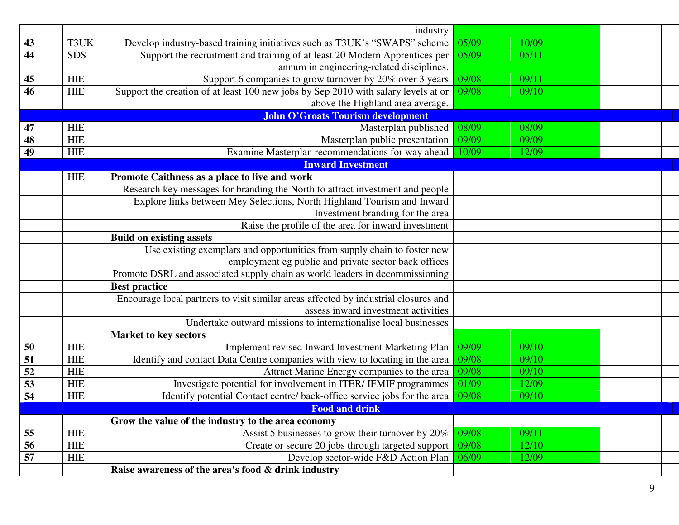|          |                                 | industry                                                                                                                           |                |                |  |  |  |
|----------|---------------------------------|------------------------------------------------------------------------------------------------------------------------------------|----------------|----------------|--|--|--|
| 43       | T3UK                            | 05/09<br>Develop industry-based training initiatives such as T3UK's "SWAPS" scheme<br>10/09<br>05/09                               |                |                |  |  |  |
| 44       | <b>SDS</b>                      | Support the recruitment and training of at least 20 Modern Apprentices per                                                         | 05/11          |                |  |  |  |
|          |                                 | annum in engineering-related disciplines.                                                                                          | 09/08          |                |  |  |  |
| 45       | <b>HIE</b>                      | Support 6 companies to grow turnover by 20% over 3 years                                                                           | 09/11          |                |  |  |  |
| 46       | <b>HIE</b>                      | Support the creation of at least 100 new jobs by Sep 2010 with salary levels at or                                                 | 09/08          | 09/10          |  |  |  |
|          |                                 | above the Highland area average.                                                                                                   |                |                |  |  |  |
|          |                                 | <b>John O'Groats Tourism development</b>                                                                                           |                |                |  |  |  |
| 47       | <b>HIE</b>                      | Masterplan published                                                                                                               | 08/09          | 08/09          |  |  |  |
| 48       | <b>HIE</b>                      | Masterplan public presentation                                                                                                     | 09/09          | 09/09          |  |  |  |
| 49       | <b>HIE</b>                      | Examine Masterplan recommendations for way ahead                                                                                   | 10/09          | 12/09          |  |  |  |
|          |                                 | <b>Inward Investment</b>                                                                                                           |                |                |  |  |  |
|          | <b>HIE</b>                      | Promote Caithness as a place to live and work                                                                                      |                |                |  |  |  |
|          |                                 | Research key messages for branding the North to attract investment and people                                                      |                |                |  |  |  |
|          |                                 | Explore links between Mey Selections, North Highland Tourism and Inward                                                            |                |                |  |  |  |
|          |                                 | Investment branding for the area                                                                                                   |                |                |  |  |  |
|          |                                 | Raise the profile of the area for inward investment                                                                                |                |                |  |  |  |
|          | <b>Build on existing assets</b> |                                                                                                                                    |                |                |  |  |  |
|          |                                 | Use existing exemplars and opportunities from supply chain to foster new                                                           |                |                |  |  |  |
|          |                                 | employment eg public and private sector back offices                                                                               |                |                |  |  |  |
|          |                                 | Promote DSRL and associated supply chain as world leaders in decommissioning                                                       |                |                |  |  |  |
|          |                                 | <b>Best practice</b>                                                                                                               |                |                |  |  |  |
|          |                                 | Encourage local partners to visit similar areas affected by industrial closures and                                                |                |                |  |  |  |
|          |                                 | assess inward investment activities                                                                                                |                |                |  |  |  |
|          |                                 | Undertake outward missions to internationalise local businesses                                                                    |                |                |  |  |  |
|          | <b>HIE</b>                      | <b>Market to key sectors</b>                                                                                                       | 09/09          | 09/10          |  |  |  |
| 50<br>51 | <b>HIE</b>                      | Implement revised Inward Investment Marketing Plan<br>Identify and contact Data Centre companies with view to locating in the area |                |                |  |  |  |
| 52       | <b>HIE</b>                      | Attract Marine Energy companies to the area                                                                                        | 09/08<br>09/08 | 09/10<br>09/10 |  |  |  |
| 53       | <b>HIE</b>                      | Investigate potential for involvement in ITER/ IFMIF programmes                                                                    | 01/09          | 12/09          |  |  |  |
| 54       | <b>HIE</b>                      |                                                                                                                                    | 09/08          | 09/10          |  |  |  |
|          |                                 | Identify potential Contact centre/ back-office service jobs for the area<br><b>Example 2018 Food and drink</b>                     |                |                |  |  |  |
|          |                                 | Grow the value of the industry to the area economy                                                                                 |                |                |  |  |  |
| 55       | <b>HIE</b>                      | Assist 5 businesses to grow their turnover by 20%                                                                                  | 09/08          | 09/11          |  |  |  |
| 56       | <b>HIE</b>                      | Create or secure 20 jobs through targeted support                                                                                  | 09/08          | 12/10          |  |  |  |
| 57       | <b>HIE</b>                      | Develop sector-wide F&D Action Plan                                                                                                | 06/09          | 12/09          |  |  |  |
|          |                                 | Raise awareness of the area's food & drink industry                                                                                |                |                |  |  |  |
|          |                                 |                                                                                                                                    |                |                |  |  |  |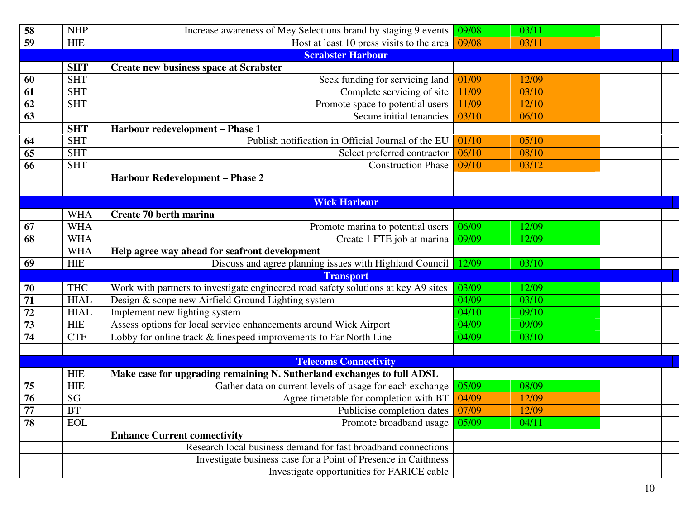| 58              | <b>NHP</b>  | Increase awareness of Mey Selections brand by staging 9 events                     | 09/08<br>03/11 |       |  |
|-----------------|-------------|------------------------------------------------------------------------------------|----------------|-------|--|
| 59              | <b>HIE</b>  | Host at least 10 press visits to the area                                          | 03/11<br>09/08 |       |  |
|                 |             | <b>Scrabster Harbour</b>                                                           |                |       |  |
|                 | <b>SHT</b>  | <b>Create new business space at Scrabster</b>                                      |                |       |  |
| 60              | <b>SHT</b>  | Seek funding for servicing land                                                    | 01/09          | 12/09 |  |
| 61              | <b>SHT</b>  | Complete servicing of site                                                         | 11/09          | 03/10 |  |
| 62              | <b>SHT</b>  | Promote space to potential users                                                   | 11/09          | 12/10 |  |
| 63              |             | Secure initial tenancies                                                           | 03/10          | 06/10 |  |
|                 | <b>SHT</b>  | Harbour redevelopment - Phase 1                                                    |                |       |  |
| 64              | <b>SHT</b>  | Publish notification in Official Journal of the EU                                 | 01/10          | 05/10 |  |
| 65              | <b>SHT</b>  | Select preferred contractor                                                        | 06/10          | 08/10 |  |
| 66              | <b>SHT</b>  | <b>Construction Phase</b>                                                          | 09/10          | 03/12 |  |
|                 |             | <b>Harbour Redevelopment - Phase 2</b>                                             |                |       |  |
|                 |             |                                                                                    |                |       |  |
|                 |             | <b>Wick Harbour</b>                                                                |                |       |  |
|                 | <b>WHA</b>  | Create 70 berth marina                                                             |                |       |  |
| 67              | <b>WHA</b>  | Promote marina to potential users                                                  | 06/09          | 12/09 |  |
| 68              | <b>WHA</b>  | Create 1 FTE job at marina                                                         | 09/09          | 12/09 |  |
|                 | <b>WHA</b>  | Help agree way ahead for seafront development                                      |                |       |  |
| 69              | <b>HIE</b>  | Discuss and agree planning issues with Highland Council                            | 12/09          | 03/10 |  |
|                 |             | <b>Transport</b>                                                                   |                |       |  |
| 70              | <b>THC</b>  | Work with partners to investigate engineered road safety solutions at key A9 sites | 03/09          | 12/09 |  |
| 71              | <b>HIAL</b> | Design & scope new Airfield Ground Lighting system                                 | 04/09          | 03/10 |  |
| 72              | <b>HIAL</b> | Implement new lighting system                                                      | 04/10          | 09/10 |  |
| 73              | <b>HIE</b>  | Assess options for local service enhancements around Wick Airport                  | 04/09          | 09/09 |  |
| 74              | <b>CTF</b>  | Lobby for online track & linespeed improvements to Far North Line                  | 04/09          | 03/10 |  |
|                 |             |                                                                                    |                |       |  |
|                 |             | <b>Telecoms Connectivity</b>                                                       |                |       |  |
|                 | <b>HIE</b>  | Make case for upgrading remaining N. Sutherland exchanges to full ADSL             |                |       |  |
| 75              | <b>HIE</b>  | Gather data on current levels of usage for each exchange                           | 05/09          | 08/09 |  |
| 76              | SG          | Agree timetable for completion with BT                                             | 04/09          | 12/09 |  |
| $\overline{77}$ | BT          | Publicise completion dates                                                         | 07/09          | 12/09 |  |
| 78              | <b>EOL</b>  | Promote broadband usage                                                            | 05/09          | 04/11 |  |
|                 |             | <b>Enhance Current connectivity</b>                                                |                |       |  |
|                 |             | Research local business demand for fast broadband connections                      |                |       |  |
|                 |             | Investigate business case for a Point of Presence in Caithness                     |                |       |  |
|                 |             | Investigate opportunities for FARICE cable                                         |                |       |  |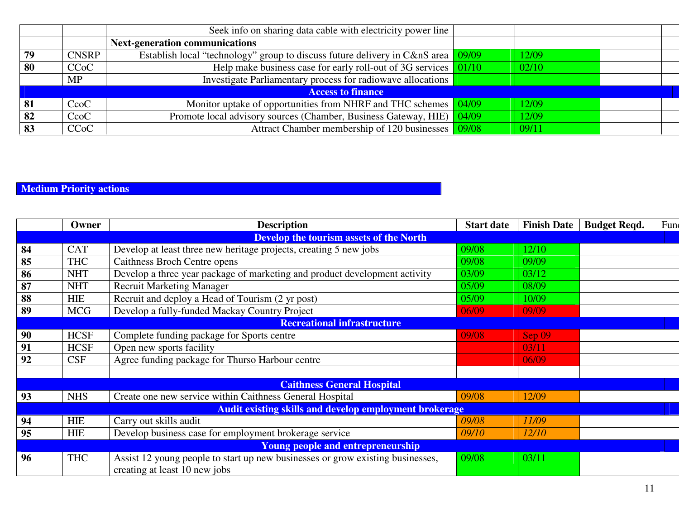|    |              | Seek info on sharing data cable with electricity power line                               |       |       |  |
|----|--------------|-------------------------------------------------------------------------------------------|-------|-------|--|
|    |              | <b>Next-generation communications</b>                                                     |       |       |  |
| 79 | <b>CNSRP</b> | Establish local "technology" group to discuss future delivery in C&nS area $\sqrt{09/09}$ |       | 12/09 |  |
| 80 | <b>CCoC</b>  | Help make business case for early roll-out of 3G services $\sqrt{01/10}$                  |       | 02/10 |  |
|    | <b>MP</b>    | Investigate Parliamentary process for radiowave allocations                               |       |       |  |
|    |              | <b>Access to finance</b>                                                                  |       |       |  |
| 81 | CcoC         | Monitor uptake of opportunities from NHRF and THC schemes 04/09                           |       | 12/09 |  |
| 82 | CcoC         | Promote local advisory sources (Chamber, Business Gateway, HIE)                           | 04/09 | 12/09 |  |
| 83 | <b>CCoC</b>  | Attract Chamber membership of 120 businesses 09/08                                        |       | 09/11 |  |

#### **Medium Priority actions**

|    | Owner                                   | <b>Description</b>                                                                                              | <b>Start date</b> | <b>Finish Date</b> | <b>Budget Reqd.</b> | Fun |
|----|-----------------------------------------|-----------------------------------------------------------------------------------------------------------------|-------------------|--------------------|---------------------|-----|
|    | Develop the tourism assets of the North |                                                                                                                 |                   |                    |                     |     |
| 84 | <b>CAT</b>                              | Develop at least three new heritage projects, creating 5 new jobs                                               | 09/08             | 12/10              |                     |     |
| 85 | <b>THC</b>                              | Caithness Broch Centre opens                                                                                    | 09/08             | 09/09              |                     |     |
| 86 | <b>NHT</b>                              | Develop a three year package of marketing and product development activity                                      | 03/09             | 03/12              |                     |     |
| 87 | <b>NHT</b>                              | <b>Recruit Marketing Manager</b>                                                                                | 05/09             | 08/09              |                     |     |
| 88 | <b>HIE</b>                              | Recruit and deploy a Head of Tourism (2 yr post)                                                                | 05/09             | 10/09              |                     |     |
| 89 | <b>MCG</b>                              | Develop a fully-funded Mackay Country Project                                                                   | 06/09             | 09/09              |                     |     |
|    |                                         | <b>Recreational infrastructure</b>                                                                              |                   |                    |                     |     |
| 90 | <b>HCSF</b>                             | Complete funding package for Sports centre                                                                      | 09/08             | $\textsf{Sep}\,09$ |                     |     |
| 91 | <b>HCSF</b>                             | Open new sports facility                                                                                        |                   | 03/11              |                     |     |
| 92 | <b>CSF</b>                              | Agree funding package for Thurso Harbour centre                                                                 |                   | 06/09              |                     |     |
|    |                                         |                                                                                                                 |                   |                    |                     |     |
|    |                                         | <b>Caithness General Hospital</b>                                                                               |                   |                    |                     |     |
| 93 | <b>NHS</b>                              | Create one new service within Caithness General Hospital                                                        | 09/08             | 12/09              |                     |     |
|    |                                         | <b>Audit existing skills and develop employment brokerage</b>                                                   |                   |                    |                     |     |
| 94 | <b>HIE</b>                              | Carry out skills audit                                                                                          | 09/08             | 11/09              |                     |     |
| 95 | <b>HIE</b>                              | Develop business case for employment brokerage service                                                          | 09/10             | 12/10              |                     |     |
|    |                                         | <b>Young people and entrepreneurship</b>                                                                        |                   |                    |                     |     |
| 96 | <b>THC</b>                              | Assist 12 young people to start up new businesses or grow existing businesses,<br>creating at least 10 new jobs | 09/08             | 03/11              |                     |     |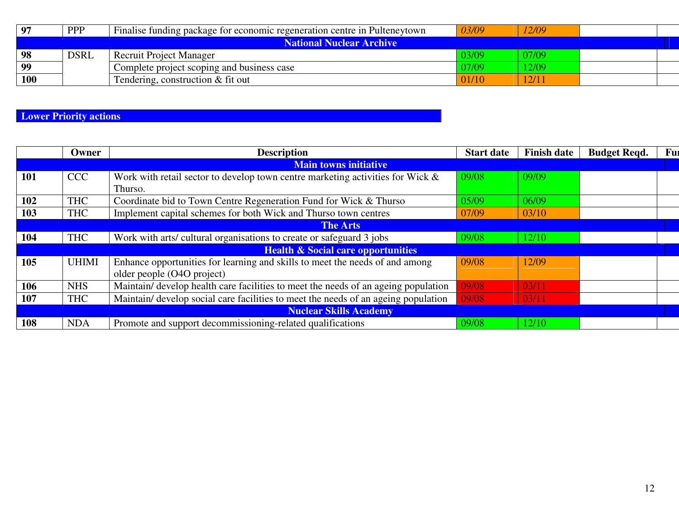| 97                       | <b>PPP</b>  | Finalise funding package for economic regeneration centre in Pulteneytown | 03/09 | 12/09 |  |  |
|--------------------------|-------------|---------------------------------------------------------------------------|-------|-------|--|--|
| National Nuclear Archive |             |                                                                           |       |       |  |  |
| 98                       | <b>DSRL</b> | <b>Recruit Project Manager</b>                                            | 03/09 | 07/09 |  |  |
| 99                       |             | Complete project scoping and business case                                | 07/09 | 12/09 |  |  |
| 100                      |             | Tendering, construction $&$ fit out                                       | 01/10 | 12/11 |  |  |

**Lower Priority actions** 

|            | Owner           | <b>Description</b>                                                                 | <b>Start date</b> | <b>Finish date</b> | <b>Budget Regd.</b> | Fur |
|------------|-----------------|------------------------------------------------------------------------------------|-------------------|--------------------|---------------------|-----|
|            |                 | <b>Main towns initiative</b>                                                       |                   |                    |                     |     |
| <b>101</b> | <b>CCC</b>      | Work with retail sector to develop town centre marketing activities for Wick $\&$  | 09/08             | 09/09              |                     |     |
|            |                 | Thurso.                                                                            |                   |                    |                     |     |
| 102        | <b>THC</b>      | Coordinate bid to Town Centre Regeneration Fund for Wick & Thurso                  | 05/09             | 06/09              |                     |     |
| 103        | <b>THC</b>      | Implement capital schemes for both Wick and Thurso town centres                    | 07/09             | 03/10              |                     |     |
|            | <b>The Arts</b> |                                                                                    |                   |                    |                     |     |
| 104        | <b>THC</b>      | Work with arts/ cultural organisations to create or safeguard 3 jobs               | 09/08             | 12/10              |                     |     |
|            |                 | <b>Health &amp; Social care opportunities</b>                                      |                   |                    |                     |     |
| 105        | <b>UHIMI</b>    | Enhance opportunities for learning and skills to meet the needs of and among       | 09/08             | 12/09              |                     |     |
|            |                 | older people (O4O project)                                                         |                   |                    |                     |     |
| 106        | <b>NHS</b>      | Maintain/ develop health care facilities to meet the needs of an ageing population | 09/08             | 03/11              |                     |     |
| 107        | <b>THC</b>      | Maintain/ develop social care facilities to meet the needs of an ageing population | 09/08             | 03/11              |                     |     |
|            |                 | <b>Nuclear Skills Academy</b>                                                      |                   |                    |                     |     |
| 108        | <b>NDA</b>      | Promote and support decommissioning-related qualifications                         | 09/08             | 12/10              |                     |     |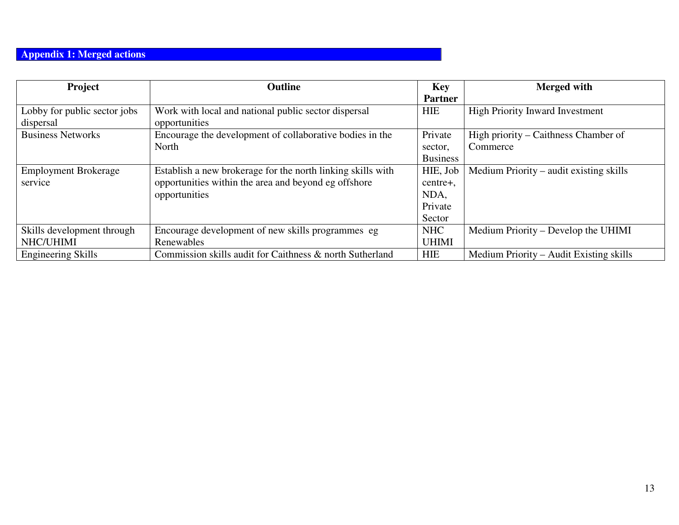#### **Appendix 1: Merged actions**

| <b>Project</b>               | <b>Outline</b>                                              | Key             | <b>Merged</b> with                      |
|------------------------------|-------------------------------------------------------------|-----------------|-----------------------------------------|
|                              |                                                             | <b>Partner</b>  |                                         |
| Lobby for public sector jobs | Work with local and national public sector dispersal        | <b>HIE</b>      | <b>High Priority Inward Investment</b>  |
| dispersal                    | opportunities                                               |                 |                                         |
| <b>Business Networks</b>     | Encourage the development of collaborative bodies in the    | Private         | High priority – Caithness Chamber of    |
|                              | North                                                       | sector,         | Commerce                                |
|                              |                                                             | <b>Business</b> |                                         |
| <b>Employment Brokerage</b>  | Establish a new brokerage for the north linking skills with | HIE, Job        | Medium Priority – audit existing skills |
| service                      | opportunities within the area and beyond eg offshore        | centre+,        |                                         |
|                              | opportunities                                               | NDA,            |                                         |
|                              |                                                             | Private         |                                         |
|                              |                                                             | Sector          |                                         |
| Skills development through   | Encourage development of new skills programmes eg           | <b>NHC</b>      | Medium Priority – Develop the UHIMI     |
| NHC/UHIMI                    | Renewables                                                  | <b>UHIMI</b>    |                                         |
| <b>Engineering Skills</b>    | Commission skills audit for Caithness & north Sutherland    | <b>HIE</b>      | Medium Priority – Audit Existing skills |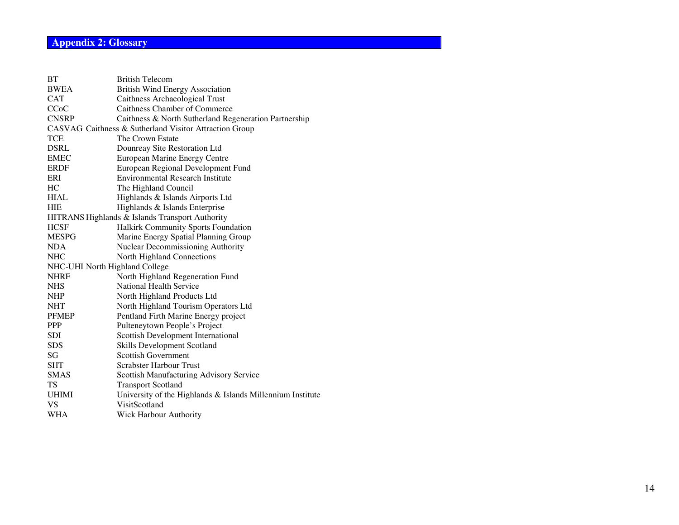#### **Appendix 2: Glossary**

| <b>BT</b>                      | <b>British Telecom</b>                                     |
|--------------------------------|------------------------------------------------------------|
| <b>BWEA</b>                    | <b>British Wind Energy Association</b>                     |
| <b>CAT</b>                     | Caithness Archaeological Trust                             |
| CCoC                           | Caithness Chamber of Commerce                              |
| <b>CNSRP</b>                   | Caithness & North Sutherland Regeneration Partnership      |
|                                | CASVAG Caithness & Sutherland Visitor Attraction Group     |
| <b>TCE</b>                     | The Crown Estate                                           |
| <b>DSRL</b>                    | Dounreay Site Restoration Ltd                              |
| <b>EMEC</b>                    | European Marine Energy Centre                              |
| <b>ERDF</b>                    | European Regional Development Fund                         |
| ERI                            | <b>Environmental Research Institute</b>                    |
| HC                             | The Highland Council                                       |
| <b>HIAL</b>                    | Highlands & Islands Airports Ltd                           |
| <b>HIE</b>                     | Highlands & Islands Enterprise                             |
|                                | HITRANS Highlands & Islands Transport Authority            |
| <b>HCSF</b>                    | Halkirk Community Sports Foundation                        |
| <b>MESPG</b>                   | Marine Energy Spatial Planning Group                       |
| <b>NDA</b>                     | <b>Nuclear Decommissioning Authority</b>                   |
| <b>NHC</b>                     | North Highland Connections                                 |
| NHC-UHI North Highland College |                                                            |
| <b>NHRF</b>                    | North Highland Regeneration Fund                           |
| <b>NHS</b>                     | National Health Service                                    |
| NHP                            | North Highland Products Ltd                                |
| <b>NHT</b>                     | North Highland Tourism Operators Ltd                       |
| <b>PFMEP</b>                   | Pentland Firth Marine Energy project                       |
| <b>PPP</b>                     | Pulteneytown People's Project                              |
| <b>SDI</b>                     | Scottish Development International                         |
| <b>SDS</b>                     | Skills Development Scotland                                |
| SG                             | <b>Scottish Government</b>                                 |
| <b>SHT</b>                     | Scrabster Harbour Trust                                    |
| <b>SMAS</b>                    | Scottish Manufacturing Advisory Service                    |
| <b>TS</b>                      | <b>Transport Scotland</b>                                  |
| <b>UHIMI</b>                   | University of the Highlands & Islands Millennium Institute |
| VS                             | VisitScotland                                              |
| WHA                            | Wick Harbour Authority                                     |
|                                |                                                            |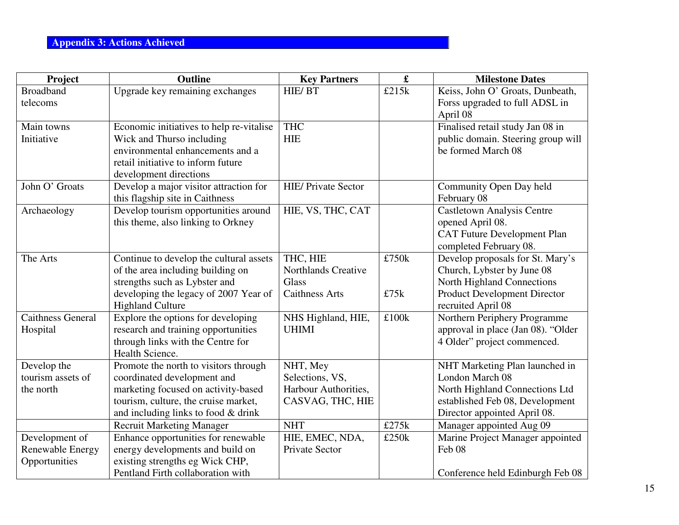#### **Appendix 3: Actions Achieved**

| Project                        | <b>Outline</b>                                                              | <b>Key Partners</b>                     | $\mathbf f$ | <b>Milestone Dates</b>                                            |
|--------------------------------|-----------------------------------------------------------------------------|-----------------------------------------|-------------|-------------------------------------------------------------------|
| <b>Broadband</b>               | Upgrade key remaining exchanges                                             | HIE/BT                                  | £215k       | Keiss, John O' Groats, Dunbeath,                                  |
| telecoms                       |                                                                             |                                         |             | Forss upgraded to full ADSL in                                    |
|                                |                                                                             |                                         |             | April 08                                                          |
| Main towns                     | Economic initiatives to help re-vitalise                                    | <b>THC</b>                              |             | Finalised retail study Jan 08 in                                  |
| Initiative                     | Wick and Thurso including                                                   | <b>HIE</b>                              |             | public domain. Steering group will                                |
|                                | environmental enhancements and a                                            |                                         |             | be formed March 08                                                |
|                                | retail initiative to inform future                                          |                                         |             |                                                                   |
| John O' Groats                 | development directions<br>Develop a major visitor attraction for            | <b>HIE/ Private Sector</b>              |             |                                                                   |
|                                | this flagship site in Caithness                                             |                                         |             | Community Open Day held<br>February 08                            |
| Archaeology                    | Develop tourism opportunities around                                        | HIE, VS, THC, CAT                       |             | Castletown Analysis Centre                                        |
|                                | this theme, also linking to Orkney                                          |                                         |             | opened April 08.                                                  |
|                                |                                                                             |                                         |             | <b>CAT Future Development Plan</b>                                |
|                                |                                                                             |                                         |             | completed February 08.                                            |
| The Arts                       | Continue to develop the cultural assets                                     | THC, HIE                                | £750k       | Develop proposals for St. Mary's                                  |
|                                | of the area including building on                                           | Northlands Creative                     |             | Church, Lybster by June 08                                        |
|                                | strengths such as Lybster and                                               | <b>Glass</b>                            |             | North Highland Connections                                        |
|                                | developing the legacy of 2007 Year of                                       | <b>Caithness Arts</b>                   | £75k        | Product Development Director                                      |
|                                | <b>Highland Culture</b>                                                     |                                         |             | recruited April 08                                                |
| <b>Caithness General</b>       | Explore the options for developing                                          | NHS Highland, HIE,                      | £100k       | Northern Periphery Programme                                      |
| Hospital                       | research and training opportunities                                         | <b>UHIMI</b>                            |             | approval in place (Jan 08). "Older                                |
|                                | through links with the Centre for                                           |                                         |             | 4 Older" project commenced.                                       |
|                                | Health Science.                                                             |                                         |             |                                                                   |
| Develop the                    | Promote the north to visitors through                                       | NHT, Mey                                |             | NHT Marketing Plan launched in                                    |
| tourism assets of<br>the north | coordinated development and                                                 | Selections, VS,<br>Harbour Authorities, |             | London March 08                                                   |
|                                | marketing focused on activity-based<br>tourism, culture, the cruise market, | CASVAG, THC, HIE                        |             | North Highland Connections Ltd<br>established Feb 08, Development |
|                                | and including links to food & drink                                         |                                         |             | Director appointed April 08.                                      |
|                                | <b>Recruit Marketing Manager</b>                                            | <b>NHT</b>                              | £275k       | Manager appointed Aug 09                                          |
| Development of                 | Enhance opportunities for renewable                                         | HIE, EMEC, NDA,                         | £250k       | Marine Project Manager appointed                                  |
| Renewable Energy               | energy developments and build on                                            | Private Sector                          |             | Feb 08                                                            |
| Opportunities                  | existing strengths eg Wick CHP,                                             |                                         |             |                                                                   |
|                                | Pentland Firth collaboration with                                           |                                         |             | Conference held Edinburgh Feb 08                                  |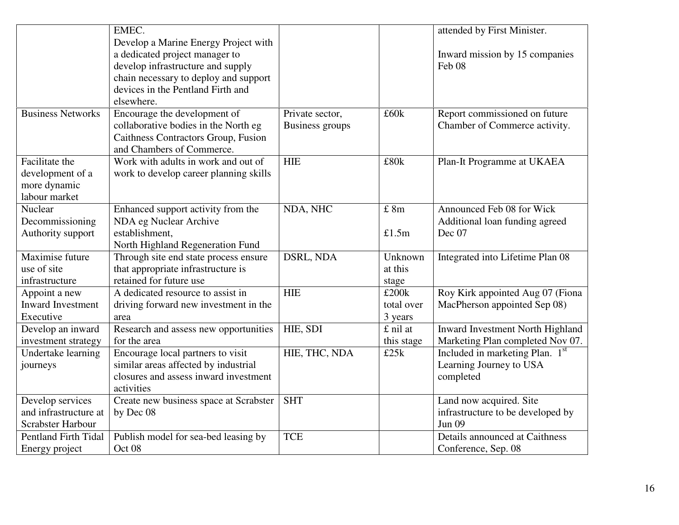|                                                                     | EMEC.<br>Develop a Marine Energy Project with<br>a dedicated project manager to<br>develop infrastructure and supply<br>chain necessary to deploy and support |                                           |                                | attended by First Minister.<br>Inward mission by 15 companies<br>Feb 08 |
|---------------------------------------------------------------------|---------------------------------------------------------------------------------------------------------------------------------------------------------------|-------------------------------------------|--------------------------------|-------------------------------------------------------------------------|
|                                                                     | devices in the Pentland Firth and<br>elsewhere.                                                                                                               |                                           |                                |                                                                         |
| <b>Business Networks</b>                                            | Encourage the development of<br>collaborative bodies in the North eg<br>Caithness Contractors Group, Fusion<br>and Chambers of Commerce.                      | Private sector,<br><b>Business groups</b> | £60k                           | Report commissioned on future<br>Chamber of Commerce activity.          |
| Facilitate the<br>development of a<br>more dynamic<br>labour market | Work with adults in work and out of<br>work to develop career planning skills                                                                                 | <b>HIE</b>                                | £80k                           | Plan-It Programme at UKAEA                                              |
| Nuclear<br>Decommissioning<br>Authority support                     | Enhanced support activity from the<br>NDA eg Nuclear Archive<br>establishment,<br>North Highland Regeneration Fund                                            | NDA, NHC                                  | £ 8m<br>£1.5m                  | Announced Feb 08 for Wick<br>Additional loan funding agreed<br>Dec 07   |
| Maximise future<br>use of site<br>infrastructure                    | Through site end state process ensure<br>that appropriate infrastructure is<br>retained for future use                                                        | DSRL, NDA                                 | Unknown<br>at this<br>stage    | Integrated into Lifetime Plan 08                                        |
| Appoint a new<br>Inward Investment<br>Executive                     | A dedicated resource to assist in<br>driving forward new investment in the<br>area                                                                            | <b>HIE</b>                                | £200k<br>total over<br>3 years | Roy Kirk appointed Aug 07 (Fiona<br>MacPherson appointed Sep 08)        |
| Develop an inward<br>investment strategy                            | Research and assess new opportunities<br>for the area                                                                                                         | HIE, SDI                                  | £ nil at<br>this stage         | Inward Investment North Highland<br>Marketing Plan completed Nov 07.    |
| Undertake learning<br>journeys                                      | Encourage local partners to visit<br>similar areas affected by industrial<br>closures and assess inward investment<br>activities                              | HIE, THC, NDA                             | £25k                           | Included in marketing Plan. 1st<br>Learning Journey to USA<br>completed |
| Develop services<br>and infrastructure at<br>Scrabster Harbour      | Create new business space at Scrabster<br>by Dec 08                                                                                                           | <b>SHT</b>                                |                                | Land now acquired. Site<br>infrastructure to be developed by<br>Jun 09  |
| <b>Pentland Firth Tidal</b><br>Energy project                       | Publish model for sea-bed leasing by<br>Oct <sub>08</sub>                                                                                                     | <b>TCE</b>                                |                                | Details announced at Caithness<br>Conference, Sep. 08                   |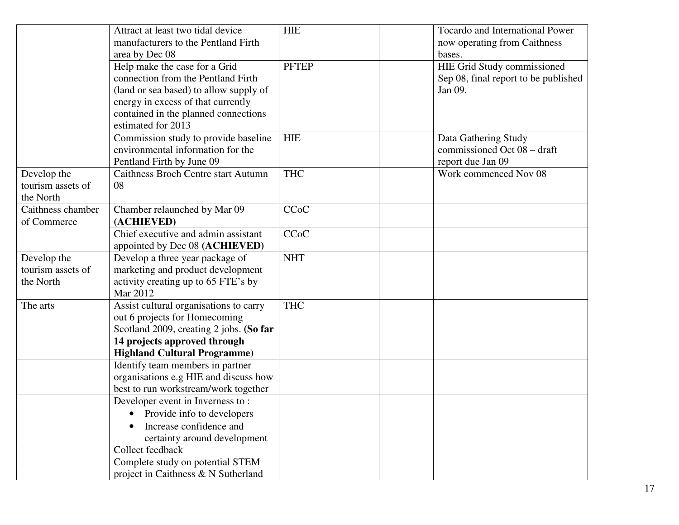|                                               | Attract at least two tidal device<br>manufacturers to the Pentland Firth<br>area by Dec 08                                                                                                                        | <b>HIE</b>   | Tocardo and International Power<br>now operating from Caithness<br>bases.      |
|-----------------------------------------------|-------------------------------------------------------------------------------------------------------------------------------------------------------------------------------------------------------------------|--------------|--------------------------------------------------------------------------------|
|                                               | Help make the case for a Grid<br>connection from the Pentland Firth<br>(land or sea based) to allow supply of<br>energy in excess of that currently<br>contained in the planned connections<br>estimated for 2013 | <b>PFTEP</b> | HIE Grid Study commissioned<br>Sep 08, final report to be published<br>Jan 09. |
|                                               | Commission study to provide baseline<br>environmental information for the<br>Pentland Firth by June 09                                                                                                            | <b>HIE</b>   | Data Gathering Study<br>commissioned Oct 08 - draft<br>report due Jan 09       |
| Develop the<br>tourism assets of<br>the North | <b>Caithness Broch Centre start Autumn</b><br>08                                                                                                                                                                  | <b>THC</b>   | Work commenced Nov 08                                                          |
| Caithness chamber                             | Chamber relaunched by Mar 09                                                                                                                                                                                      | <b>CCoC</b>  |                                                                                |
| of Commerce                                   | (ACHIEVED)                                                                                                                                                                                                        |              |                                                                                |
|                                               | Chief executive and admin assistant<br>appointed by Dec 08 (ACHIEVED)                                                                                                                                             | <b>CCoC</b>  |                                                                                |
| Develop the<br>tourism assets of<br>the North | Develop a three year package of<br>marketing and product development<br>activity creating up to 65 FTE's by<br>Mar 2012                                                                                           | <b>NHT</b>   |                                                                                |
| The arts                                      | Assist cultural organisations to carry<br>out 6 projects for Homecoming<br>Scotland 2009, creating 2 jobs. (So far<br>14 projects approved through<br><b>Highland Cultural Programme)</b>                         | <b>THC</b>   |                                                                                |
|                                               | Identify team members in partner<br>organisations e.g HIE and discuss how<br>best to run workstream/work together                                                                                                 |              |                                                                                |
|                                               | Developer event in Inverness to:<br>Provide info to developers<br>Increase confidence and<br>certainty around development<br>Collect feedback                                                                     |              |                                                                                |
|                                               | Complete study on potential STEM<br>project in Caithness & N Sutherland                                                                                                                                           |              |                                                                                |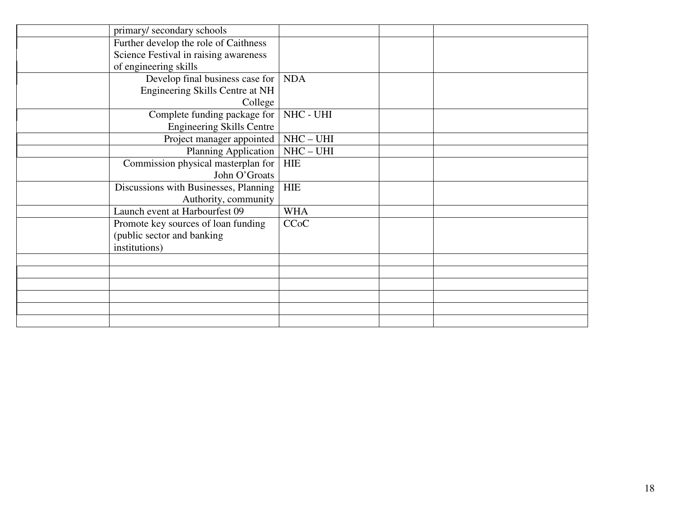| primary/secondary schools                                      |             |  |
|----------------------------------------------------------------|-------------|--|
| Further develop the role of Caithness                          |             |  |
| Science Festival in raising awareness<br>of engineering skills |             |  |
| Develop final business case for                                | <b>NDA</b>  |  |
| Engineering Skills Centre at NH                                |             |  |
| College                                                        |             |  |
| Complete funding package for                                   | NHC - UHI   |  |
| <b>Engineering Skills Centre</b>                               |             |  |
| Project manager appointed                                      | $NHC - UHI$ |  |
| <b>Planning Application</b>                                    | $NHC - UHI$ |  |
| Commission physical masterplan for                             | <b>HIE</b>  |  |
| John O'Groats                                                  |             |  |
| Discussions with Businesses, Planning                          | <b>HIE</b>  |  |
| Authority, community                                           |             |  |
| Launch event at Harbourfest 09                                 | <b>WHA</b>  |  |
| Promote key sources of loan funding                            | <b>CCoC</b> |  |
| (public sector and banking                                     |             |  |
| institutions)                                                  |             |  |
|                                                                |             |  |
|                                                                |             |  |
|                                                                |             |  |
|                                                                |             |  |
|                                                                |             |  |
|                                                                |             |  |